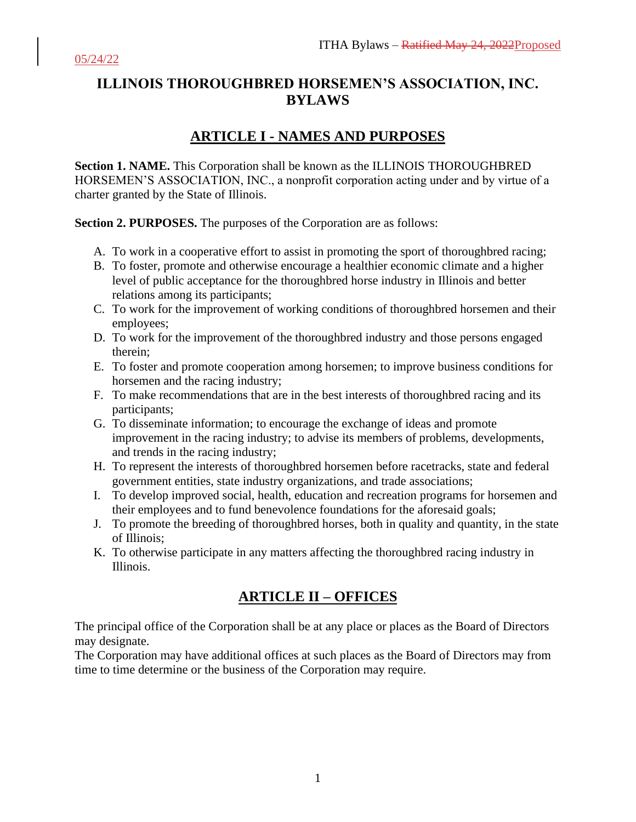# **ILLINOIS THOROUGHBRED HORSEMEN'S ASSOCIATION, INC. BYLAWS**

# **ARTICLE I - NAMES AND PURPOSES**

**Section 1. NAME.** This Corporation shall be known as the ILLINOIS THOROUGHBRED HORSEMEN'S ASSOCIATION, INC., a nonprofit corporation acting under and by virtue of a charter granted by the State of Illinois.

**Section 2. PURPOSES.** The purposes of the Corporation are as follows:

- A. To work in a cooperative effort to assist in promoting the sport of thoroughbred racing;
- B. To foster, promote and otherwise encourage a healthier economic climate and a higher level of public acceptance for the thoroughbred horse industry in Illinois and better relations among its participants;
- C. To work for the improvement of working conditions of thoroughbred horsemen and their employees;
- D. To work for the improvement of the thoroughbred industry and those persons engaged therein;
- E. To foster and promote cooperation among horsemen; to improve business conditions for horsemen and the racing industry;
- F. To make recommendations that are in the best interests of thoroughbred racing and its participants;
- G. To disseminate information; to encourage the exchange of ideas and promote improvement in the racing industry; to advise its members of problems, developments, and trends in the racing industry;
- H. To represent the interests of thoroughbred horsemen before racetracks, state and federal government entities, state industry organizations, and trade associations;
- I. To develop improved social, health, education and recreation programs for horsemen and their employees and to fund benevolence foundations for the aforesaid goals;
- J. To promote the breeding of thoroughbred horses, both in quality and quantity, in the state of Illinois;
- K. To otherwise participate in any matters affecting the thoroughbred racing industry in Illinois.

## **ARTICLE II – OFFICES**

The principal office of the Corporation shall be at any place or places as the Board of Directors may designate.

The Corporation may have additional offices at such places as the Board of Directors may from time to time determine or the business of the Corporation may require.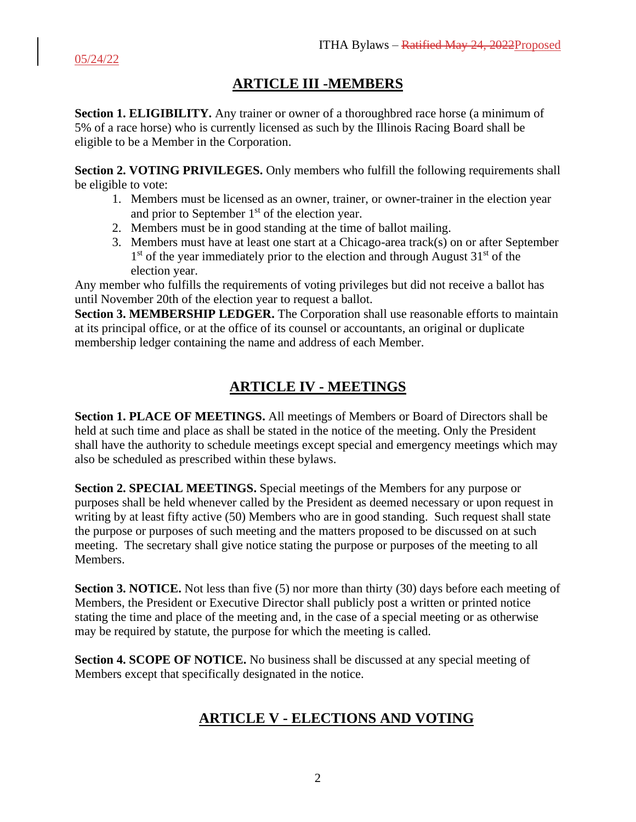# **ARTICLE III -MEMBERS**

**Section 1. ELIGIBILITY.** Any trainer or owner of a thoroughbred race horse (a minimum of 5% of a race horse) who is currently licensed as such by the Illinois Racing Board shall be eligible to be a Member in the Corporation.

**Section 2. VOTING PRIVILEGES.** Only members who fulfill the following requirements shall be eligible to vote:

- 1. Members must be licensed as an owner, trainer, or owner-trainer in the election year and prior to September 1<sup>st</sup> of the election year.
- 2. Members must be in good standing at the time of ballot mailing.
- 3. Members must have at least one start at a Chicago-area track(s) on or after September 1<sup>st</sup> of the year immediately prior to the election and through August 31<sup>st</sup> of the election year.

Any member who fulfills the requirements of voting privileges but did not receive a ballot has until November 20th of the election year to request a ballot.

**Section 3. MEMBERSHIP LEDGER.** The Corporation shall use reasonable efforts to maintain at its principal office, or at the office of its counsel or accountants, an original or duplicate membership ledger containing the name and address of each Member.

# **ARTICLE IV - MEETINGS**

**Section 1. PLACE OF MEETINGS.** All meetings of Members or Board of Directors shall be held at such time and place as shall be stated in the notice of the meeting. Only the President shall have the authority to schedule meetings except special and emergency meetings which may also be scheduled as prescribed within these bylaws.

**Section 2. SPECIAL MEETINGS.** Special meetings of the Members for any purpose or purposes shall be held whenever called by the President as deemed necessary or upon request in writing by at least fifty active (50) Members who are in good standing. Such request shall state the purpose or purposes of such meeting and the matters proposed to be discussed on at such meeting. The secretary shall give notice stating the purpose or purposes of the meeting to all Members.

**Section 3. NOTICE.** Not less than five (5) nor more than thirty (30) days before each meeting of Members, the President or Executive Director shall publicly post a written or printed notice stating the time and place of the meeting and, in the case of a special meeting or as otherwise may be required by statute, the purpose for which the meeting is called.

**Section 4. SCOPE OF NOTICE.** No business shall be discussed at any special meeting of Members except that specifically designated in the notice.

# **ARTICLE V - ELECTIONS AND VOTING**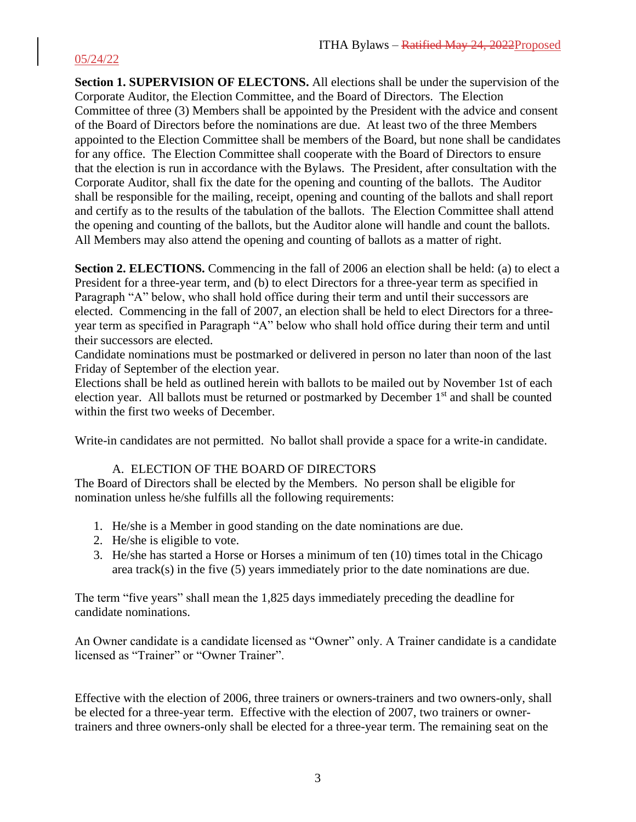**Section 1. SUPERVISION OF ELECTONS.** All elections shall be under the supervision of the Corporate Auditor, the Election Committee, and the Board of Directors. The Election Committee of three (3) Members shall be appointed by the President with the advice and consent of the Board of Directors before the nominations are due. At least two of the three Members appointed to the Election Committee shall be members of the Board, but none shall be candidates for any office. The Election Committee shall cooperate with the Board of Directors to ensure that the election is run in accordance with the Bylaws. The President, after consultation with the Corporate Auditor, shall fix the date for the opening and counting of the ballots. The Auditor shall be responsible for the mailing, receipt, opening and counting of the ballots and shall report and certify as to the results of the tabulation of the ballots. The Election Committee shall attend the opening and counting of the ballots, but the Auditor alone will handle and count the ballots. All Members may also attend the opening and counting of ballots as a matter of right.

Section 2. ELECTIONS. Commencing in the fall of 2006 an election shall be held: (a) to elect a President for a three-year term, and (b) to elect Directors for a three-year term as specified in Paragraph "A" below, who shall hold office during their term and until their successors are elected. Commencing in the fall of 2007, an election shall be held to elect Directors for a threeyear term as specified in Paragraph "A" below who shall hold office during their term and until their successors are elected.

Candidate nominations must be postmarked or delivered in person no later than noon of the last Friday of September of the election year.

Elections shall be held as outlined herein with ballots to be mailed out by November 1st of each election year. All ballots must be returned or postmarked by December 1<sup>st</sup> and shall be counted within the first two weeks of December.

Write-in candidates are not permitted. No ballot shall provide a space for a write-in candidate.

#### A. ELECTION OF THE BOARD OF DIRECTORS

The Board of Directors shall be elected by the Members. No person shall be eligible for nomination unless he/she fulfills all the following requirements:

- 1. He/she is a Member in good standing on the date nominations are due.
- 2. He/she is eligible to vote.
- 3. He/she has started a Horse or Horses a minimum of ten (10) times total in the Chicago area track(s) in the five (5) years immediately prior to the date nominations are due.

The term "five years" shall mean the 1,825 days immediately preceding the deadline for candidate nominations.

An Owner candidate is a candidate licensed as "Owner" only. A Trainer candidate is a candidate licensed as "Trainer" or "Owner Trainer".

Effective with the election of 2006, three trainers or owners-trainers and two owners-only, shall be elected for a three-year term. Effective with the election of 2007, two trainers or ownertrainers and three owners-only shall be elected for a three-year term. The remaining seat on the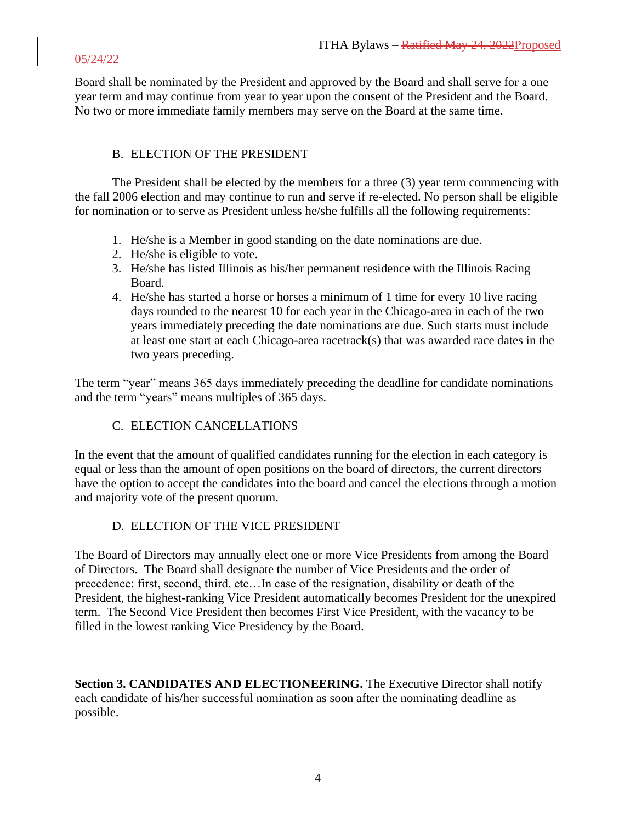Board shall be nominated by the President and approved by the Board and shall serve for a one year term and may continue from year to year upon the consent of the President and the Board. No two or more immediate family members may serve on the Board at the same time.

### B. ELECTION OF THE PRESIDENT

The President shall be elected by the members for a three (3) year term commencing with the fall 2006 election and may continue to run and serve if re-elected. No person shall be eligible for nomination or to serve as President unless he/she fulfills all the following requirements:

- 1. He/she is a Member in good standing on the date nominations are due.
- 2. He/she is eligible to vote.
- 3. He/she has listed Illinois as his/her permanent residence with the Illinois Racing Board.
- 4. He/she has started a horse or horses a minimum of 1 time for every 10 live racing days rounded to the nearest 10 for each year in the Chicago-area in each of the two years immediately preceding the date nominations are due. Such starts must include at least one start at each Chicago-area racetrack(s) that was awarded race dates in the two years preceding.

The term "year" means 365 days immediately preceding the deadline for candidate nominations and the term "years" means multiples of 365 days.

### C. ELECTION CANCELLATIONS

In the event that the amount of qualified candidates running for the election in each category is equal or less than the amount of open positions on the board of directors, the current directors have the option to accept the candidates into the board and cancel the elections through a motion and majority vote of the present quorum.

### D. ELECTION OF THE VICE PRESIDENT

The Board of Directors may annually elect one or more Vice Presidents from among the Board of Directors. The Board shall designate the number of Vice Presidents and the order of precedence: first, second, third, etc…In case of the resignation, disability or death of the President, the highest-ranking Vice President automatically becomes President for the unexpired term. The Second Vice President then becomes First Vice President, with the vacancy to be filled in the lowest ranking Vice Presidency by the Board.

**Section 3. CANDIDATES AND ELECTIONEERING.** The Executive Director shall notify each candidate of his/her successful nomination as soon after the nominating deadline as possible.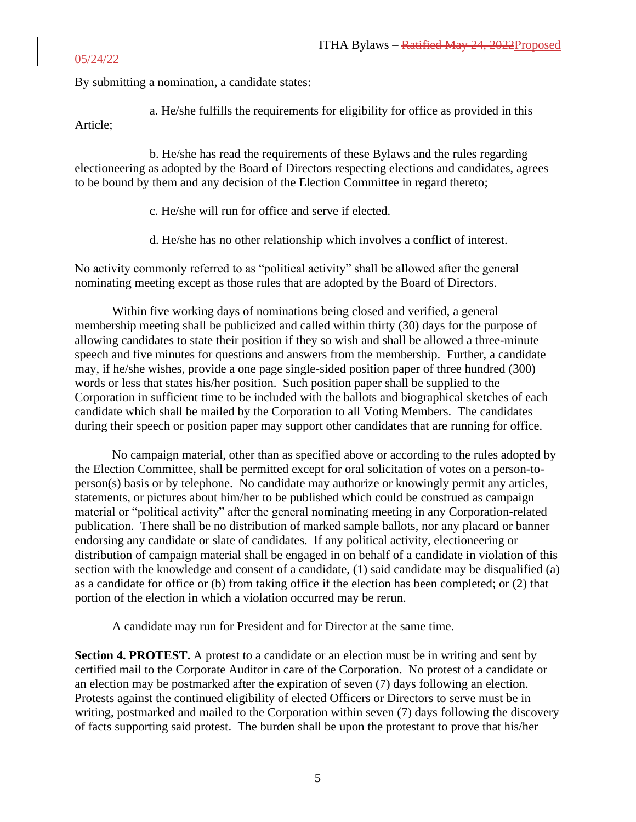By submitting a nomination, a candidate states:

a. He/she fulfills the requirements for eligibility for office as provided in this Article;

b. He/she has read the requirements of these Bylaws and the rules regarding electioneering as adopted by the Board of Directors respecting elections and candidates, agrees to be bound by them and any decision of the Election Committee in regard thereto;

- c. He/she will run for office and serve if elected.
- d. He/she has no other relationship which involves a conflict of interest.

No activity commonly referred to as "political activity" shall be allowed after the general nominating meeting except as those rules that are adopted by the Board of Directors.

Within five working days of nominations being closed and verified, a general membership meeting shall be publicized and called within thirty (30) days for the purpose of allowing candidates to state their position if they so wish and shall be allowed a three-minute speech and five minutes for questions and answers from the membership. Further, a candidate may, if he/she wishes, provide a one page single-sided position paper of three hundred (300) words or less that states his/her position. Such position paper shall be supplied to the Corporation in sufficient time to be included with the ballots and biographical sketches of each candidate which shall be mailed by the Corporation to all Voting Members. The candidates during their speech or position paper may support other candidates that are running for office.

No campaign material, other than as specified above or according to the rules adopted by the Election Committee, shall be permitted except for oral solicitation of votes on a person-toperson(s) basis or by telephone. No candidate may authorize or knowingly permit any articles, statements, or pictures about him/her to be published which could be construed as campaign material or "political activity" after the general nominating meeting in any Corporation-related publication. There shall be no distribution of marked sample ballots, nor any placard or banner endorsing any candidate or slate of candidates. If any political activity, electioneering or distribution of campaign material shall be engaged in on behalf of a candidate in violation of this section with the knowledge and consent of a candidate, (1) said candidate may be disqualified (a) as a candidate for office or (b) from taking office if the election has been completed; or (2) that portion of the election in which a violation occurred may be rerun.

A candidate may run for President and for Director at the same time.

**Section 4. PROTEST.** A protest to a candidate or an election must be in writing and sent by certified mail to the Corporate Auditor in care of the Corporation. No protest of a candidate or an election may be postmarked after the expiration of seven (7) days following an election. Protests against the continued eligibility of elected Officers or Directors to serve must be in writing, postmarked and mailed to the Corporation within seven (7) days following the discovery of facts supporting said protest. The burden shall be upon the protestant to prove that his/her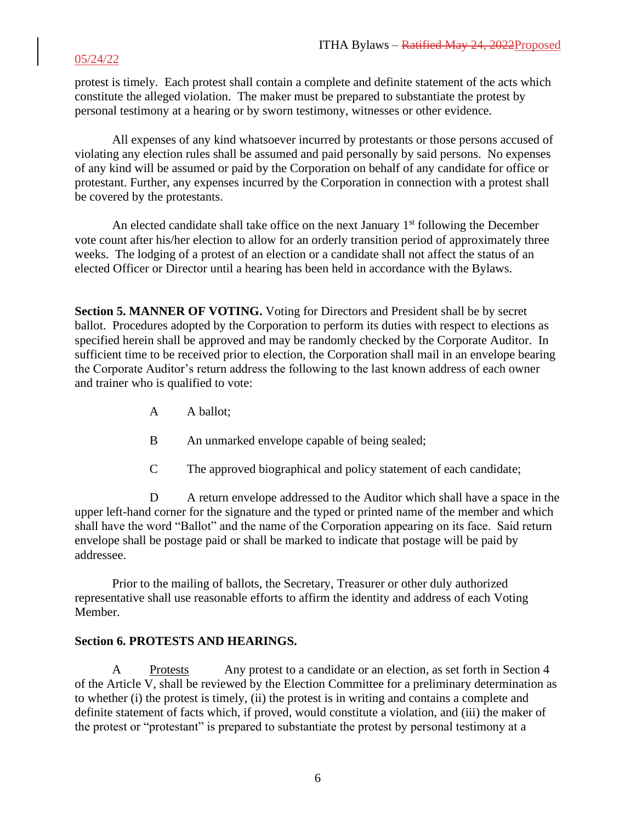protest is timely. Each protest shall contain a complete and definite statement of the acts which constitute the alleged violation. The maker must be prepared to substantiate the protest by personal testimony at a hearing or by sworn testimony, witnesses or other evidence.

All expenses of any kind whatsoever incurred by protestants or those persons accused of violating any election rules shall be assumed and paid personally by said persons. No expenses of any kind will be assumed or paid by the Corporation on behalf of any candidate for office or protestant. Further, any expenses incurred by the Corporation in connection with a protest shall be covered by the protestants.

An elected candidate shall take office on the next January  $1<sup>st</sup>$  following the December vote count after his/her election to allow for an orderly transition period of approximately three weeks. The lodging of a protest of an election or a candidate shall not affect the status of an elected Officer or Director until a hearing has been held in accordance with the Bylaws.

**Section 5. MANNER OF VOTING.** Voting for Directors and President shall be by secret ballot. Procedures adopted by the Corporation to perform its duties with respect to elections as specified herein shall be approved and may be randomly checked by the Corporate Auditor. In sufficient time to be received prior to election, the Corporation shall mail in an envelope bearing the Corporate Auditor's return address the following to the last known address of each owner and trainer who is qualified to vote:

- A A ballot;
- B An unmarked envelope capable of being sealed;
- C The approved biographical and policy statement of each candidate;

D A return envelope addressed to the Auditor which shall have a space in the upper left-hand corner for the signature and the typed or printed name of the member and which shall have the word "Ballot" and the name of the Corporation appearing on its face. Said return envelope shall be postage paid or shall be marked to indicate that postage will be paid by addressee.

Prior to the mailing of ballots, the Secretary, Treasurer or other duly authorized representative shall use reasonable efforts to affirm the identity and address of each Voting Member.

#### **Section 6. PROTESTS AND HEARINGS.**

A Protests Any protest to a candidate or an election, as set forth in Section 4 of the Article V, shall be reviewed by the Election Committee for a preliminary determination as to whether (i) the protest is timely, (ii) the protest is in writing and contains a complete and definite statement of facts which, if proved, would constitute a violation, and (iii) the maker of the protest or "protestant" is prepared to substantiate the protest by personal testimony at a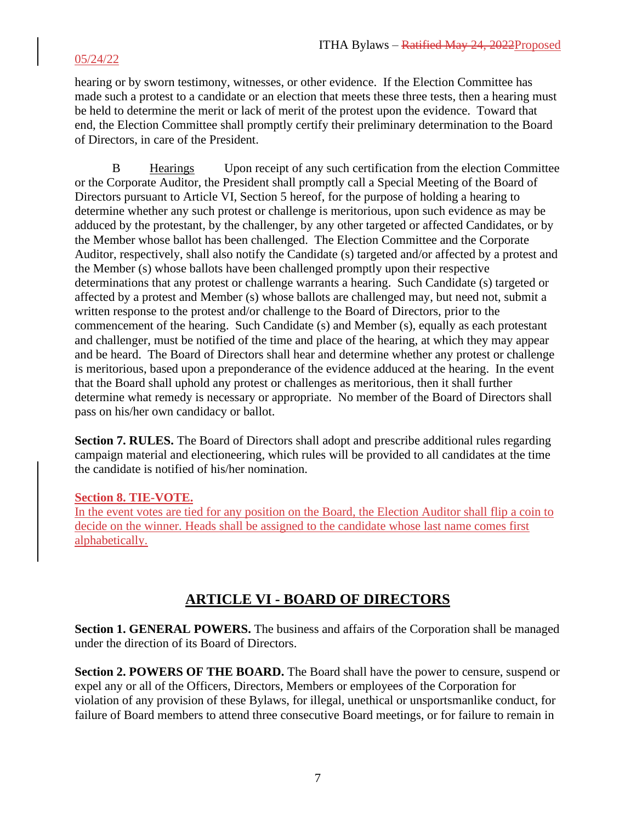hearing or by sworn testimony, witnesses, or other evidence. If the Election Committee has made such a protest to a candidate or an election that meets these three tests, then a hearing must be held to determine the merit or lack of merit of the protest upon the evidence. Toward that end, the Election Committee shall promptly certify their preliminary determination to the Board of Directors, in care of the President.

B Hearings Upon receipt of any such certification from the election Committee or the Corporate Auditor, the President shall promptly call a Special Meeting of the Board of Directors pursuant to Article VI, Section 5 hereof, for the purpose of holding a hearing to determine whether any such protest or challenge is meritorious, upon such evidence as may be adduced by the protestant, by the challenger, by any other targeted or affected Candidates, or by the Member whose ballot has been challenged. The Election Committee and the Corporate Auditor, respectively, shall also notify the Candidate (s) targeted and/or affected by a protest and the Member (s) whose ballots have been challenged promptly upon their respective determinations that any protest or challenge warrants a hearing. Such Candidate (s) targeted or affected by a protest and Member (s) whose ballots are challenged may, but need not, submit a written response to the protest and/or challenge to the Board of Directors, prior to the commencement of the hearing. Such Candidate (s) and Member (s), equally as each protestant and challenger, must be notified of the time and place of the hearing, at which they may appear and be heard. The Board of Directors shall hear and determine whether any protest or challenge is meritorious, based upon a preponderance of the evidence adduced at the hearing. In the event that the Board shall uphold any protest or challenges as meritorious, then it shall further determine what remedy is necessary or appropriate. No member of the Board of Directors shall pass on his/her own candidacy or ballot.

**Section 7. RULES.** The Board of Directors shall adopt and prescribe additional rules regarding campaign material and electioneering, which rules will be provided to all candidates at the time the candidate is notified of his/her nomination.

#### **Section 8. TIE-VOTE.**

In the event votes are tied for any position on the Board, the Election Auditor shall flip a coin to decide on the winner. Heads shall be assigned to the candidate whose last name comes first alphabetically.

## **ARTICLE VI - BOARD OF DIRECTORS**

**Section 1. GENERAL POWERS.** The business and affairs of the Corporation shall be managed under the direction of its Board of Directors.

**Section 2. POWERS OF THE BOARD.** The Board shall have the power to censure, suspend or expel any or all of the Officers, Directors, Members or employees of the Corporation for violation of any provision of these Bylaws, for illegal, unethical or unsportsmanlike conduct, for failure of Board members to attend three consecutive Board meetings, or for failure to remain in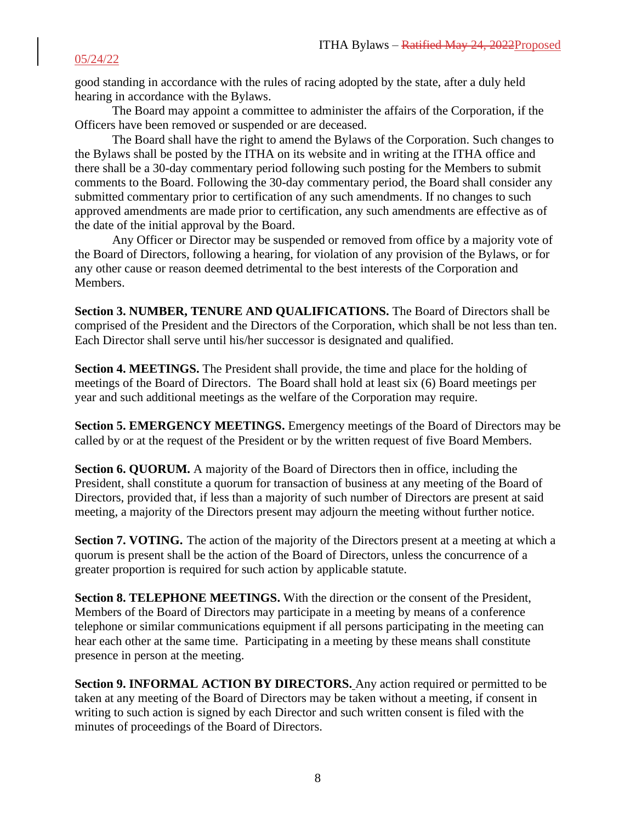good standing in accordance with the rules of racing adopted by the state, after a duly held hearing in accordance with the Bylaws.

The Board may appoint a committee to administer the affairs of the Corporation, if the Officers have been removed or suspended or are deceased.

The Board shall have the right to amend the Bylaws of the Corporation. Such changes to the Bylaws shall be posted by the ITHA on its website and in writing at the ITHA office and there shall be a 30-day commentary period following such posting for the Members to submit comments to the Board. Following the 30-day commentary period, the Board shall consider any submitted commentary prior to certification of any such amendments. If no changes to such approved amendments are made prior to certification, any such amendments are effective as of the date of the initial approval by the Board.

Any Officer or Director may be suspended or removed from office by a majority vote of the Board of Directors, following a hearing, for violation of any provision of the Bylaws, or for any other cause or reason deemed detrimental to the best interests of the Corporation and Members.

**Section 3. NUMBER, TENURE AND QUALIFICATIONS.** The Board of Directors shall be comprised of the President and the Directors of the Corporation, which shall be not less than ten. Each Director shall serve until his/her successor is designated and qualified.

**Section 4. MEETINGS.** The President shall provide, the time and place for the holding of meetings of the Board of Directors. The Board shall hold at least six (6) Board meetings per year and such additional meetings as the welfare of the Corporation may require.

**Section 5. EMERGENCY MEETINGS.** Emergency meetings of the Board of Directors may be called by or at the request of the President or by the written request of five Board Members.

**Section 6. QUORUM.** A majority of the Board of Directors then in office, including the President, shall constitute a quorum for transaction of business at any meeting of the Board of Directors, provided that, if less than a majority of such number of Directors are present at said meeting, a majority of the Directors present may adjourn the meeting without further notice.

**Section 7. VOTING.** The action of the majority of the Directors present at a meeting at which a quorum is present shall be the action of the Board of Directors, unless the concurrence of a greater proportion is required for such action by applicable statute.

**Section 8. TELEPHONE MEETINGS.** With the direction or the consent of the President, Members of the Board of Directors may participate in a meeting by means of a conference telephone or similar communications equipment if all persons participating in the meeting can hear each other at the same time. Participating in a meeting by these means shall constitute presence in person at the meeting.

**Section 9. INFORMAL ACTION BY DIRECTORS.** Any action required or permitted to be taken at any meeting of the Board of Directors may be taken without a meeting, if consent in writing to such action is signed by each Director and such written consent is filed with the minutes of proceedings of the Board of Directors.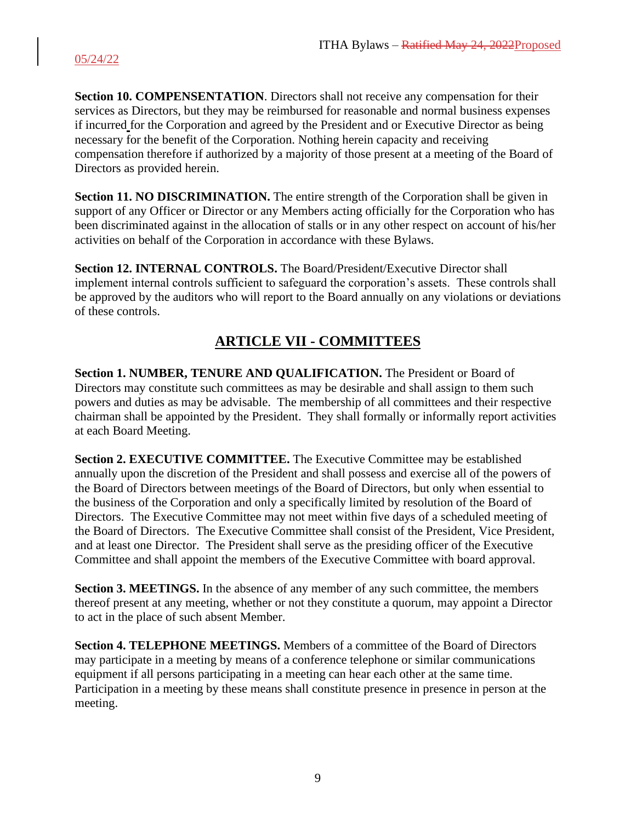**Section 10. COMPENSENTATION**. Directors shall not receive any compensation for their services as Directors, but they may be reimbursed for reasonable and normal business expenses if incurred for the Corporation and agreed by the President and or Executive Director as being necessary for the benefit of the Corporation. Nothing herein capacity and receiving compensation therefore if authorized by a majority of those present at a meeting of the Board of Directors as provided herein.

**Section 11. NO DISCRIMINATION.** The entire strength of the Corporation shall be given in support of any Officer or Director or any Members acting officially for the Corporation who has been discriminated against in the allocation of stalls or in any other respect on account of his/her activities on behalf of the Corporation in accordance with these Bylaws.

**Section 12. INTERNAL CONTROLS.** The Board/President/Executive Director shall implement internal controls sufficient to safeguard the corporation's assets. These controls shall be approved by the auditors who will report to the Board annually on any violations or deviations of these controls.

# **ARTICLE VII - COMMITTEES**

**Section 1. NUMBER, TENURE AND QUALIFICATION.** The President or Board of Directors may constitute such committees as may be desirable and shall assign to them such powers and duties as may be advisable. The membership of all committees and their respective chairman shall be appointed by the President. They shall formally or informally report activities at each Board Meeting.

**Section 2. EXECUTIVE COMMITTEE.** The Executive Committee may be established annually upon the discretion of the President and shall possess and exercise all of the powers of the Board of Directors between meetings of the Board of Directors, but only when essential to the business of the Corporation and only a specifically limited by resolution of the Board of Directors. The Executive Committee may not meet within five days of a scheduled meeting of the Board of Directors. The Executive Committee shall consist of the President, Vice President, and at least one Director. The President shall serve as the presiding officer of the Executive Committee and shall appoint the members of the Executive Committee with board approval.

**Section 3. MEETINGS.** In the absence of any member of any such committee, the members thereof present at any meeting, whether or not they constitute a quorum, may appoint a Director to act in the place of such absent Member.

**Section 4. TELEPHONE MEETINGS.** Members of a committee of the Board of Directors may participate in a meeting by means of a conference telephone or similar communications equipment if all persons participating in a meeting can hear each other at the same time. Participation in a meeting by these means shall constitute presence in presence in person at the meeting.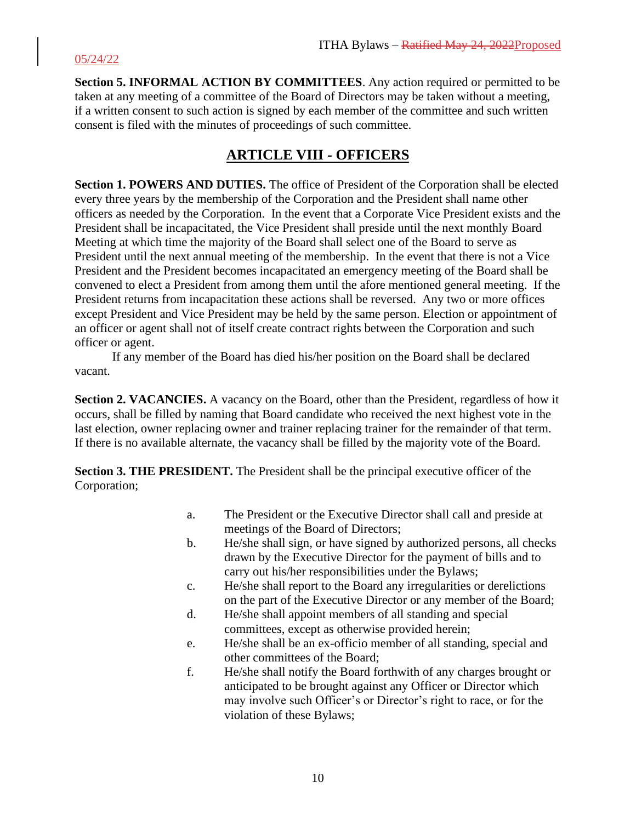**Section 5. INFORMAL ACTION BY COMMITTEES**. Any action required or permitted to be taken at any meeting of a committee of the Board of Directors may be taken without a meeting, if a written consent to such action is signed by each member of the committee and such written consent is filed with the minutes of proceedings of such committee.

## **ARTICLE VIII - OFFICERS**

**Section 1. POWERS AND DUTIES.** The office of President of the Corporation shall be elected every three years by the membership of the Corporation and the President shall name other officers as needed by the Corporation. In the event that a Corporate Vice President exists and the President shall be incapacitated, the Vice President shall preside until the next monthly Board Meeting at which time the majority of the Board shall select one of the Board to serve as President until the next annual meeting of the membership. In the event that there is not a Vice President and the President becomes incapacitated an emergency meeting of the Board shall be convened to elect a President from among them until the afore mentioned general meeting. If the President returns from incapacitation these actions shall be reversed. Any two or more offices except President and Vice President may be held by the same person. Election or appointment of an officer or agent shall not of itself create contract rights between the Corporation and such officer or agent.

If any member of the Board has died his/her position on the Board shall be declared vacant.

**Section 2. VACANCIES.** A vacancy on the Board, other than the President, regardless of how it occurs, shall be filled by naming that Board candidate who received the next highest vote in the last election, owner replacing owner and trainer replacing trainer for the remainder of that term. If there is no available alternate, the vacancy shall be filled by the majority vote of the Board.

**Section 3. THE PRESIDENT.** The President shall be the principal executive officer of the Corporation;

- a. The President or the Executive Director shall call and preside at meetings of the Board of Directors;
- b. He/she shall sign, or have signed by authorized persons, all checks drawn by the Executive Director for the payment of bills and to carry out his/her responsibilities under the Bylaws;
- c. He/she shall report to the Board any irregularities or derelictions on the part of the Executive Director or any member of the Board;
- d. He/she shall appoint members of all standing and special committees, except as otherwise provided herein;
- e. He/she shall be an ex-officio member of all standing, special and other committees of the Board;
- f. He/she shall notify the Board forthwith of any charges brought or anticipated to be brought against any Officer or Director which may involve such Officer's or Director's right to race, or for the violation of these Bylaws;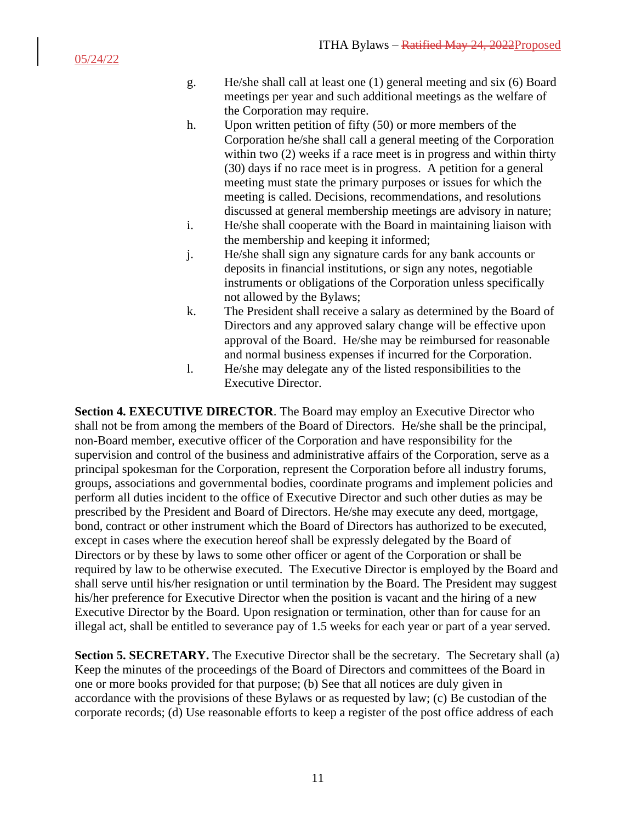- g. He/she shall call at least one (1) general meeting and six (6) Board meetings per year and such additional meetings as the welfare of the Corporation may require.
- h. Upon written petition of fifty (50) or more members of the Corporation he/she shall call a general meeting of the Corporation within two  $(2)$  weeks if a race meet is in progress and within thirty (30) days if no race meet is in progress. A petition for a general meeting must state the primary purposes or issues for which the meeting is called. Decisions, recommendations, and resolutions discussed at general membership meetings are advisory in nature;
- i. He/she shall cooperate with the Board in maintaining liaison with the membership and keeping it informed;
- j. He/she shall sign any signature cards for any bank accounts or deposits in financial institutions, or sign any notes, negotiable instruments or obligations of the Corporation unless specifically not allowed by the Bylaws;
- k. The President shall receive a salary as determined by the Board of Directors and any approved salary change will be effective upon approval of the Board. He/she may be reimbursed for reasonable and normal business expenses if incurred for the Corporation.
- l. He/she may delegate any of the listed responsibilities to the Executive Director.

**Section 4. EXECUTIVE DIRECTOR**. The Board may employ an Executive Director who shall not be from among the members of the Board of Directors. He/she shall be the principal, non-Board member, executive officer of the Corporation and have responsibility for the supervision and control of the business and administrative affairs of the Corporation, serve as a principal spokesman for the Corporation, represent the Corporation before all industry forums, groups, associations and governmental bodies, coordinate programs and implement policies and perform all duties incident to the office of Executive Director and such other duties as may be prescribed by the President and Board of Directors. He/she may execute any deed, mortgage, bond, contract or other instrument which the Board of Directors has authorized to be executed, except in cases where the execution hereof shall be expressly delegated by the Board of Directors or by these by laws to some other officer or agent of the Corporation or shall be required by law to be otherwise executed. The Executive Director is employed by the Board and shall serve until his/her resignation or until termination by the Board. The President may suggest his/her preference for Executive Director when the position is vacant and the hiring of a new Executive Director by the Board. Upon resignation or termination, other than for cause for an illegal act, shall be entitled to severance pay of 1.5 weeks for each year or part of a year served.

**Section 5. SECRETARY.** The Executive Director shall be the secretary. The Secretary shall (a) Keep the minutes of the proceedings of the Board of Directors and committees of the Board in one or more books provided for that purpose; (b) See that all notices are duly given in accordance with the provisions of these Bylaws or as requested by law; (c) Be custodian of the corporate records; (d) Use reasonable efforts to keep a register of the post office address of each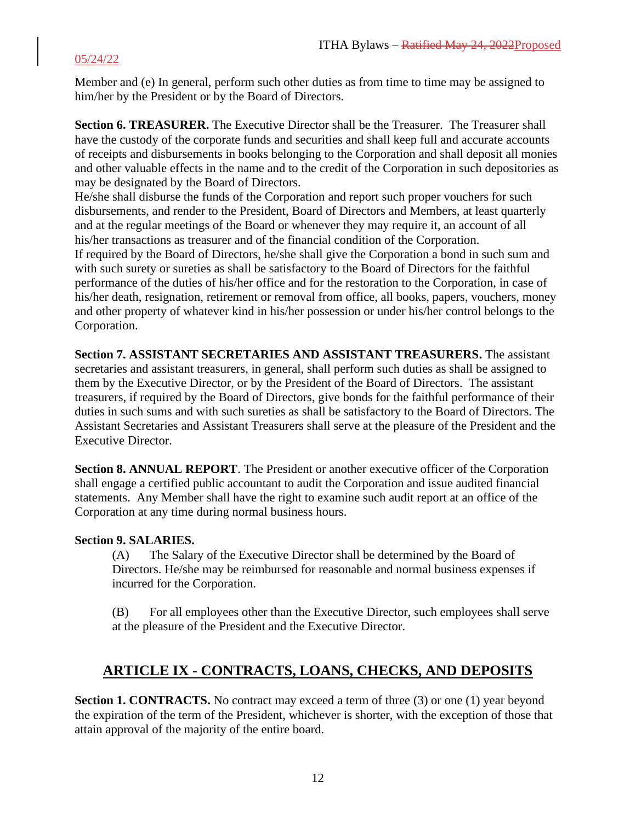Member and (e) In general, perform such other duties as from time to time may be assigned to him/her by the President or by the Board of Directors.

**Section 6. TREASURER.** The Executive Director shall be the Treasurer. The Treasurer shall have the custody of the corporate funds and securities and shall keep full and accurate accounts of receipts and disbursements in books belonging to the Corporation and shall deposit all monies and other valuable effects in the name and to the credit of the Corporation in such depositories as may be designated by the Board of Directors.

He/she shall disburse the funds of the Corporation and report such proper vouchers for such disbursements, and render to the President, Board of Directors and Members, at least quarterly and at the regular meetings of the Board or whenever they may require it, an account of all his/her transactions as treasurer and of the financial condition of the Corporation. If required by the Board of Directors, he/she shall give the Corporation a bond in such sum and with such surety or sureties as shall be satisfactory to the Board of Directors for the faithful performance of the duties of his/her office and for the restoration to the Corporation, in case of his/her death, resignation, retirement or removal from office, all books, papers, vouchers, money and other property of whatever kind in his/her possession or under his/her control belongs to the Corporation.

**Section 7. ASSISTANT SECRETARIES AND ASSISTANT TREASURERS.** The assistant secretaries and assistant treasurers, in general, shall perform such duties as shall be assigned to them by the Executive Director, or by the President of the Board of Directors. The assistant treasurers, if required by the Board of Directors, give bonds for the faithful performance of their duties in such sums and with such sureties as shall be satisfactory to the Board of Directors. The Assistant Secretaries and Assistant Treasurers shall serve at the pleasure of the President and the Executive Director.

**Section 8. ANNUAL REPORT**. The President or another executive officer of the Corporation shall engage a certified public accountant to audit the Corporation and issue audited financial statements. Any Member shall have the right to examine such audit report at an office of the Corporation at any time during normal business hours.

#### **Section 9. SALARIES.**

(A) The Salary of the Executive Director shall be determined by the Board of Directors. He/she may be reimbursed for reasonable and normal business expenses if incurred for the Corporation.

(B) For all employees other than the Executive Director, such employees shall serve at the pleasure of the President and the Executive Director.

## **ARTICLE IX - CONTRACTS, LOANS, CHECKS, AND DEPOSITS**

**Section 1. CONTRACTS.** No contract may exceed a term of three (3) or one (1) year beyond the expiration of the term of the President, whichever is shorter, with the exception of those that attain approval of the majority of the entire board.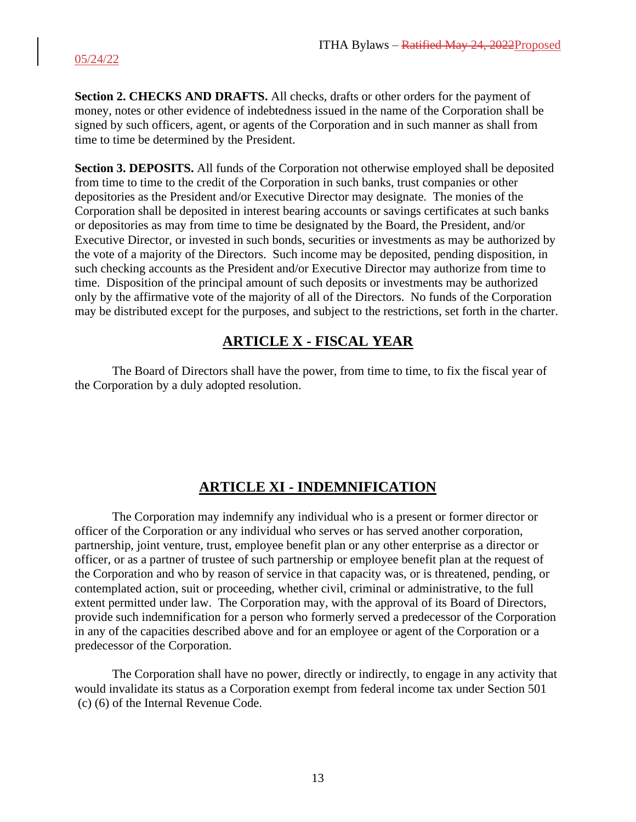**Section 2. CHECKS AND DRAFTS.** All checks, drafts or other orders for the payment of money, notes or other evidence of indebtedness issued in the name of the Corporation shall be signed by such officers, agent, or agents of the Corporation and in such manner as shall from time to time be determined by the President.

**Section 3. DEPOSITS.** All funds of the Corporation not otherwise employed shall be deposited from time to time to the credit of the Corporation in such banks, trust companies or other depositories as the President and/or Executive Director may designate. The monies of the Corporation shall be deposited in interest bearing accounts or savings certificates at such banks or depositories as may from time to time be designated by the Board, the President, and/or Executive Director, or invested in such bonds, securities or investments as may be authorized by the vote of a majority of the Directors. Such income may be deposited, pending disposition, in such checking accounts as the President and/or Executive Director may authorize from time to time. Disposition of the principal amount of such deposits or investments may be authorized only by the affirmative vote of the majority of all of the Directors. No funds of the Corporation may be distributed except for the purposes, and subject to the restrictions, set forth in the charter.

# **ARTICLE X - FISCAL YEAR**

The Board of Directors shall have the power, from time to time, to fix the fiscal year of the Corporation by a duly adopted resolution.

# **ARTICLE XI - INDEMNIFICATION**

The Corporation may indemnify any individual who is a present or former director or officer of the Corporation or any individual who serves or has served another corporation, partnership, joint venture, trust, employee benefit plan or any other enterprise as a director or officer, or as a partner of trustee of such partnership or employee benefit plan at the request of the Corporation and who by reason of service in that capacity was, or is threatened, pending, or contemplated action, suit or proceeding, whether civil, criminal or administrative, to the full extent permitted under law. The Corporation may, with the approval of its Board of Directors, provide such indemnification for a person who formerly served a predecessor of the Corporation in any of the capacities described above and for an employee or agent of the Corporation or a predecessor of the Corporation.

The Corporation shall have no power, directly or indirectly, to engage in any activity that would invalidate its status as a Corporation exempt from federal income tax under Section 501 (c) (6) of the Internal Revenue Code.